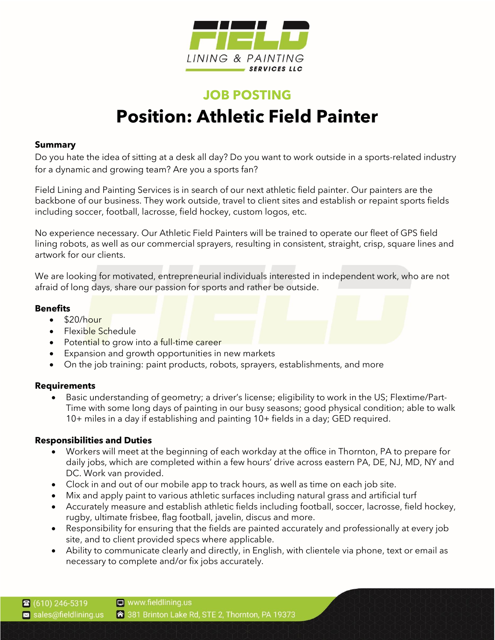

# **JOB POSTING Position: Athletic Field Painter**

## **Summary**

Do you hate the idea of sitting at a desk all day? Do you want to work outside in a sports-related industry for a dynamic and growing team? Are you a sports fan?

Field Lining and Painting Services is in search of our next athletic field painter. Our painters are the backbone of our business. They work outside, travel to client sites and establish or repaint sports fields including soccer, football, lacrosse, field hockey, custom logos, etc.

No experience necessary. Our Athletic Field Painters will be trained to operate our fleet of GPS field lining robots, as well as our commercial sprayers, resulting in consistent, straight, crisp, square lines and artwork for our clients.

We are looking for motivated, entrepreneurial individuals interested in independent work, who are not afraid of long days, share our passion for sports and rather be outside.

## **Benefits**

- $\cdot$  \$20/hour
- Flexible Schedule
- Potential to grow into a full-time career
- Expansion and growth opportunities in new markets
- On the job training: paint products, robots, sprayers, establishments, and more

#### **Requirements**

• Basic understanding of geometry; a driver's license; eligibility to work in the US; Flextime/Part-Time with some long days of painting in our busy seasons; good physical condition; able to walk 10+ miles in a day if establishing and painting 10+ fields in a day; GED required.

# **Responsibilities and Duties**

- Workers will meet at the beginning of each workday at the office in Thornton, PA to prepare for daily jobs, which are completed within a few hours' drive across eastern PA, DE, NJ, MD, NY and DC. Work van provided.
- Clock in and out of our mobile app to track hours, as well as time on each job site.
- Mix and apply paint to various athletic surfaces including natural grass and artificial turf
- Accurately measure and establish athletic fields including football, soccer, lacrosse, field hockey, rugby, ultimate frisbee, flag football, javelin, discus and more.
- Responsibility for ensuring that the fields are painted accurately and professionally at every job site, and to client provided specs where applicable.
- Ability to communicate clearly and directly, in English, with clientele via phone, text or email as necessary to complete and/or fix jobs accurately.